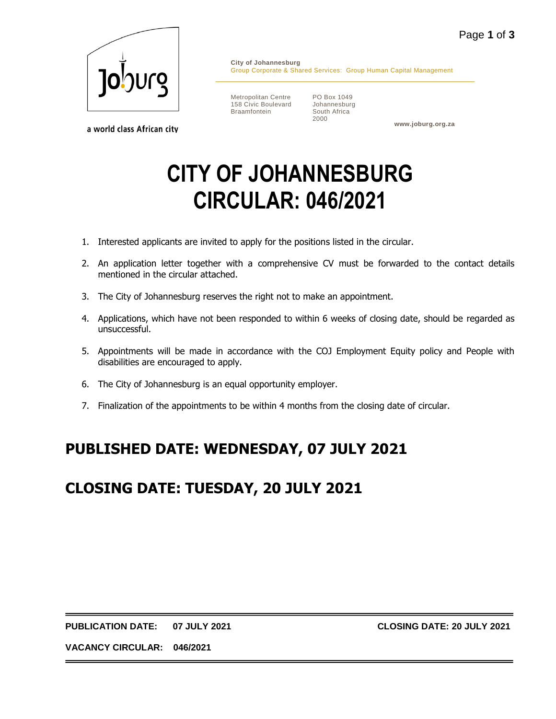

a world class African city

**City of Johannesburg** Group Corporate & Shared Services: Group Human Capital Management

Metropolitan Centre 158 Civic Boulevard Braamfontein

PO Box 1049 Johannesburg South Africa 2000

**www.joburg.org.za**

# **CITY OF JOHANNESBURG CIRCULAR: 046/2021**

- 1. Interested applicants are invited to apply for the positions listed in the circular.
- 2. An application letter together with a comprehensive CV must be forwarded to the contact details mentioned in the circular attached.
- 3. The City of Johannesburg reserves the right not to make an appointment.
- 4. Applications, which have not been responded to within 6 weeks of closing date, should be regarded as unsuccessful.
- 5. Appointments will be made in accordance with the COJ Employment Equity policy and People with disabilities are encouraged to apply.
- 6. The City of Johannesburg is an equal opportunity employer.
- 7. Finalization of the appointments to be within 4 months from the closing date of circular.

## **PUBLISHED DATE: WEDNESDAY, 07 JULY 2021**

### **CLOSING DATE: TUESDAY, 20 JULY 2021**

**PUBLICATION DATE: 07 JULY 2021 CLOSING DATE: 20 JULY 2021**

**VACANCY CIRCULAR: 046/2021**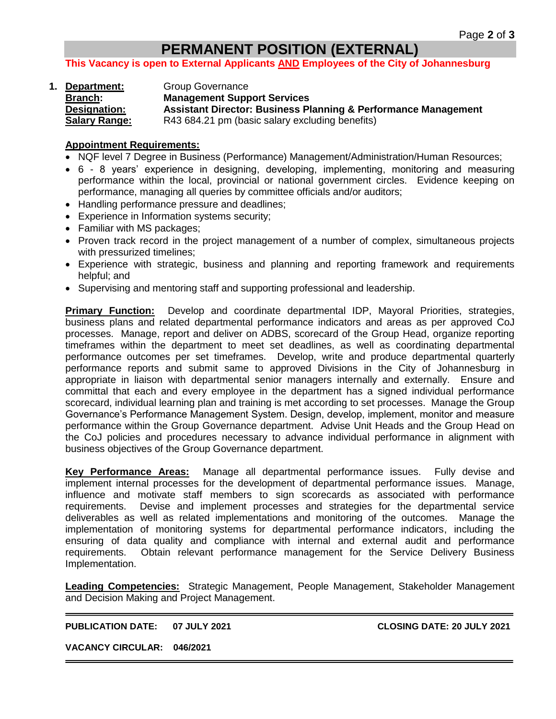#### **PERMANENT POSITION (EXTERNAL)**

**This Vacancy is open to External Applicants AND Employees of the City of Johannesburg**

**1. Department:** Group Governance **Branch: Management Support Services Designation: Assistant Director: Business Planning & Performance Management Salary Range:** R43 684.21 pm (basic salary excluding benefits)

#### **Appointment Requirements:**

- NQF level 7 Degree in Business (Performance) Management/Administration/Human Resources;
- 6 8 years' experience in designing, developing, implementing, monitoring and measuring performance within the local, provincial or national government circles. Evidence keeping on performance, managing all queries by committee officials and/or auditors;
- Handling performance pressure and deadlines;
- Experience in Information systems security;
- Familiar with MS packages;
- Proven track record in the project management of a number of complex, simultaneous projects with pressurized timelines;
- Experience with strategic, business and planning and reporting framework and requirements helpful; and
- Supervising and mentoring staff and supporting professional and leadership.

**Primary Function:** Develop and coordinate departmental IDP, Mayoral Priorities, strategies, business plans and related departmental performance indicators and areas as per approved CoJ processes. Manage, report and deliver on ADBS, scorecard of the Group Head, organize reporting timeframes within the department to meet set deadlines, as well as coordinating departmental performance outcomes per set timeframes. Develop, write and produce departmental quarterly performance reports and submit same to approved Divisions in the City of Johannesburg in appropriate in liaison with departmental senior managers internally and externally. Ensure and committal that each and every employee in the department has a signed individual performance scorecard, individual learning plan and training is met according to set processes. Manage the Group Governance's Performance Management System. Design, develop, implement, monitor and measure performance within the Group Governance department. Advise Unit Heads and the Group Head on the CoJ policies and procedures necessary to advance individual performance in alignment with business objectives of the Group Governance department.

**Key Performance Areas:** Manage all departmental performance issues. Fully devise and implement internal processes for the development of departmental performance issues. Manage, influence and motivate staff members to sign scorecards as associated with performance requirements. Devise and implement processes and strategies for the departmental service deliverables as well as related implementations and monitoring of the outcomes. Manage the implementation of monitoring systems for departmental performance indicators, including the ensuring of data quality and compliance with internal and external audit and performance requirements. Obtain relevant performance management for the Service Delivery Business Implementation.

**Leading Competencies:** Strategic Management, People Management, Stakeholder Management and Decision Making and Project Management.

**PUBLICATION DATE: 07 JULY 2021 CLOSING DATE: 20 JULY 2021**

**VACANCY CIRCULAR: 046/2021**